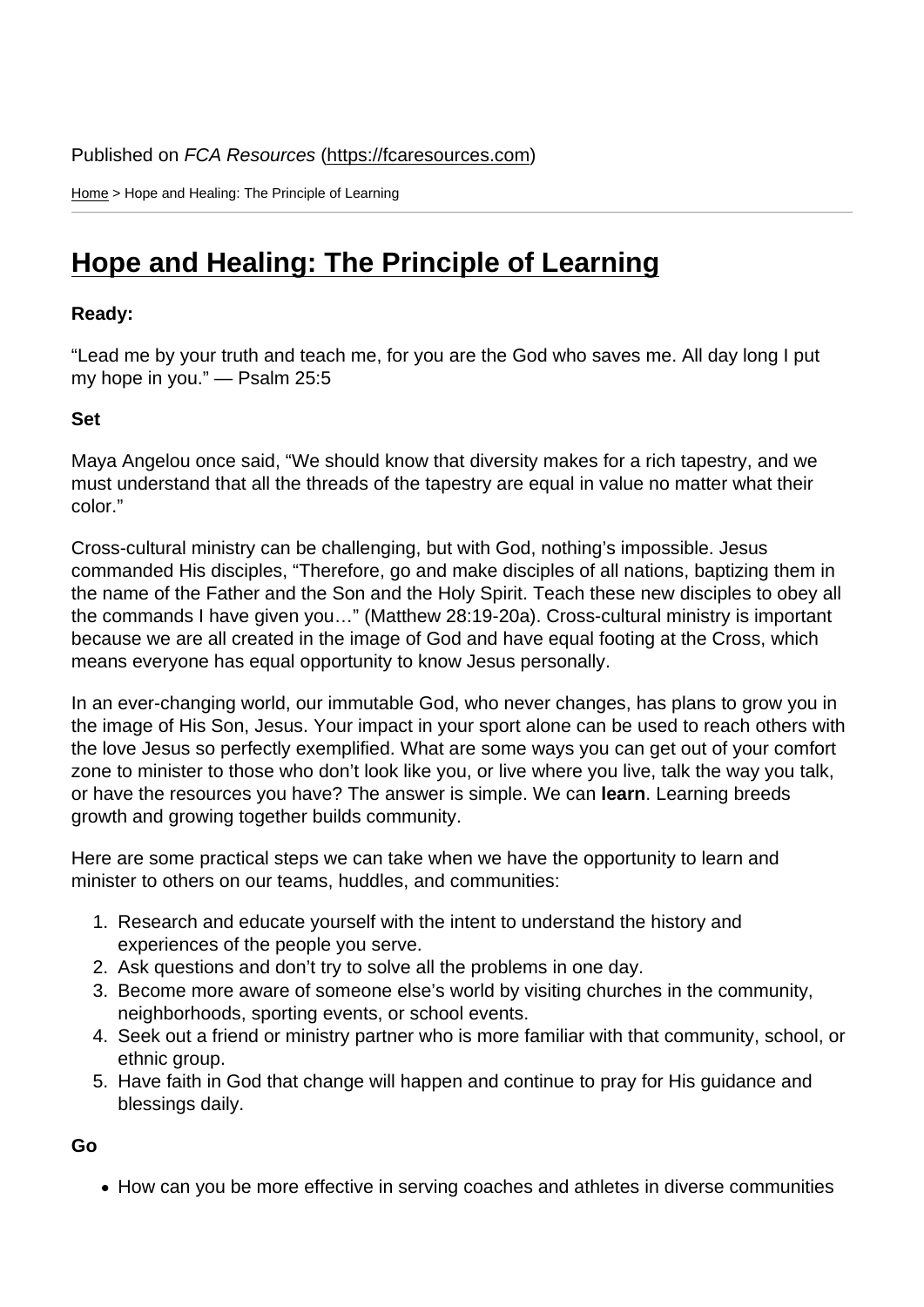Home > Hope and Healing: The Principle of Learning

## [Hop](https://fcaresources.com/)e and Healing: The Principle of Learning

Ready:

["Lead me by your truth and teach me, for you are the God who saves m](https://fcaresources.com/devotional/hope-and-healing-principle-learning)e. All day long I put my hope in you." — Psalm 25:5

Set

Maya Angelou once said, "We should know that diversity makes for a rich tapestry, and we must understand that all the threads of the tapestry are equal in value no matter what their color."

Cross-cultural ministry can be challenging, but with God, nothing's impossible. Jesus commanded His disciples, "Therefore, go and make disciples of all nations, baptizing them in the name of the Father and the Son and the Holy Spirit. Teach these new disciples to obey all the commands I have given you…" (Matthew 28:19-20a). Cross-cultural ministry is important because we are all created in the image of God and have equal footing at the Cross, which means everyone has equal opportunity to know Jesus personally.

In an ever-changing world, our immutable God, who never changes, has plans to grow you in the image of His Son, Jesus. Your impact in your sport alone can be used to reach others with the love Jesus so perfectly exemplified. What are some ways you can get out of your comfort zone to minister to those who don't look like you, or live where you live, talk the way you talk, or have the resources you have? The answer is simple. We can learn . Learning breeds growth and growing together builds community.

Here are some practical steps we can take when we have the opportunity to learn and minister to others on our teams, huddles, and communities:

- 1. Research and educate yourself with the intent to understand the history and experiences of the people you serve.
- 2. Ask questions and don't try to solve all the problems in one day.
- 3. Become more aware of someone else's world by visiting churches in the community, neighborhoods, sporting events, or school events.
- 4. Seek out a friend or ministry partner who is more familiar with that community, school, or ethnic group.
- 5. Have faith in God that change will happen and continue to pray for His guidance and blessings daily.

Go

• How can you be more effective in serving coaches and athletes in diverse communities